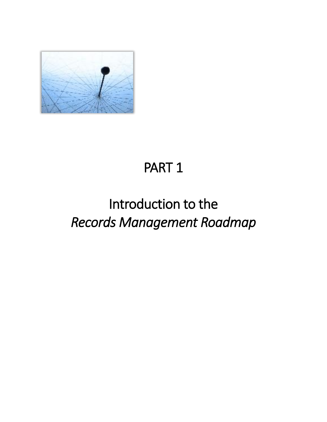

# PART 1

# Introduction to the *Records Management Roadmap*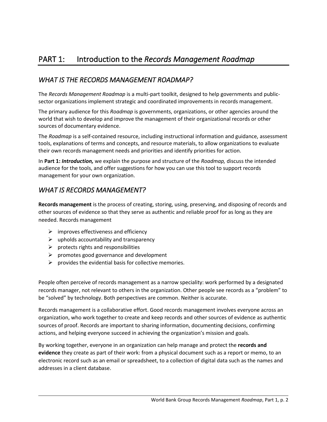#### *WHAT IS THE RECORDS MANAGEMENT ROADMAP?*

The *Records Management Roadmap* is a multi-part toolkit, designed to help governments and publicsector organizations implement strategic and coordinated improvements in records management.

The primary audience for this *Roadmap* is governments, organizations, or other agencies around the world that wish to develop and improve the management of their organizational records or other sources of documentary evidence.

The *Roadmap* is a self-contained resource, including instructional information and guidance, assessment tools, explanations of terms and concepts, and resource materials, to allow organizations to evaluate their own records management needs and priorities and identify priorities for action.

In **Part 1:** *Introduction,* we explain the purpose and structure of the *Roadmap,* discuss the intended audience for the tools, and offer suggestions for how you can use this tool to support records management for your own organization.

#### *WHAT IS RECORDS MANAGEMENT?*

**Records management** is the process of creating, storing, using, preserving, and disposing of records and other sources of evidence so that they serve as authentic and reliable proof for as long as they are needed. Records management

- $\triangleright$  improves effectiveness and efficiency
- $\triangleright$  upholds accountability and transparency
- $\triangleright$  protects rights and responsibilities
- $\triangleright$  promotes good governance and development
- $\triangleright$  provides the evidential basis for collective memories.

People often perceive of records management as a narrow speciality: work performed by a designated records manager, not relevant to others in the organization. Other people see records as a "problem" to be "solved" by technology. Both perspectives are common. Neither is accurate.

Records management is a collaborative effort. Good records management involves everyone across an organization, who work together to create and keep records and other sources of evidence as authentic sources of proof. Records are important to sharing information, documenting decisions, confirming actions, and helping everyone succeed in achieving the organization's mission and goals.

By working together, everyone in an organization can help manage and protect the **records and evidence** they create as part of their work: from a physical document such as a report or memo, to an electronic record such as an email or spreadsheet, to a collection of digital data such as the names and addresses in a client database.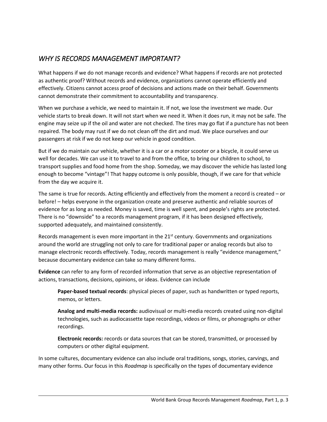#### *WHY IS RECORDS MANAGEMENT IMPORTANT?*

What happens if we do not manage records and evidence? What happens if records are not protected as authentic proof? Without records and evidence, organizations cannot operate efficiently and effectively. Citizens cannot access proof of decisions and actions made on their behalf. Governments cannot demonstrate their commitment to accountability and transparency.

When we purchase a vehicle, we need to maintain it. If not, we lose the investment we made. Our vehicle starts to break down. It will not start when we need it. When it does run, it may not be safe. The engine may seize up if the oil and water are not checked. The tires may go flat if a puncture has not been repaired. The body may rust if we do not clean off the dirt and mud. We place ourselves and our passengers at risk if we do not keep our vehicle in good condition.

But if we do maintain our vehicle, whether it is a car or a motor scooter or a bicycle, it could serve us well for decades. We can use it to travel to and from the office, to bring our children to school, to transport supplies and food home from the shop. Someday, we may discover the vehicle has lasted long enough to become "vintage"! That happy outcome is only possible, though, if we care for that vehicle from the day we acquire it.

The same is true for records. Acting efficiently and effectively from the moment a record is created – or before! – helps everyone in the organization create and preserve authentic and reliable sources of evidence for as long as needed. Money is saved, time is well spent, and people's rights are protected. There is no "downside" to a records management program, if it has been designed effectively, supported adequately, and maintained consistently.

Records management is even more important in the  $21<sup>st</sup>$  century. Governments and organizations around the world are struggling not only to care for traditional paper or analog records but also to manage electronic records effectively. Today, records management is really "evidence management," because documentary evidence can take so many different forms.

**Evidence** can refer to any form of recorded information that serve as an objective representation of actions, transactions, decisions, opinions, or ideas. Evidence can include

**Paper-based textual records**: physical pieces of paper, such as handwritten or typed reports, memos, or letters.

**Analog and multi-media records:** audiovisual or multi-media records created using non-digital technologies, such as audiocassette tape recordings, videos or films, or phonographs or other recordings.

**Electronic records:** records or data sources that can be stored, transmitted, or processed by computers or other digital equipment.

In some cultures, documentary evidence can also include oral traditions, songs, stories, carvings, and many other forms. Our focus in this *Roadmap* is specifically on the types of documentary evidence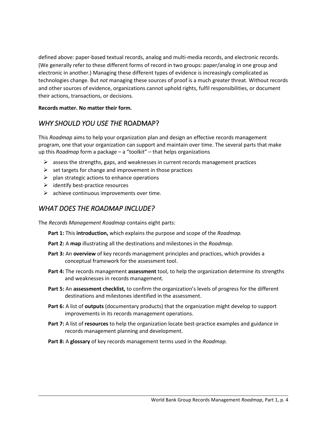defined above: paper-based textual records, analog and multi-media records, and electronic records. (We generally refer to these different forms of record in two groups: paper/analog in one group and electronic in another.) Managing these different types of evidence is increasingly complicated as technologies change. But *not* managing these sources of proof is a much greater threat. Without records and other sources of evidence, organizations cannot uphold rights, fulfil responsibilities, or document their actions, transactions, or decisions.

#### **Records matter. No matter their form.**

#### *WHY SHOULD YOU USE THE* ROADMAP?

This *Roadmap* aims to help your organization plan and design an effective records management program, one that your organization can support and maintain over time. The several parts that make up this *Roadmap* form a package – a "toolkit" – that helps organizations

- $\triangleright$  assess the strengths, gaps, and weaknesses in current records management practices
- $\triangleright$  set targets for change and improvement in those practices
- $\triangleright$  plan strategic actions to enhance operations
- $\triangleright$  identify best-practice resources
- $\triangleright$  achieve continuous improvements over time.

#### *WHAT DOES THE ROADMAP INCLUDE?*

The *Records Management Roadmap* contains eight parts:

- **Part 1:** This **introduction,** which explains the purpose and scope of the *Roadmap.*
- **Part 2:** A **map** illustrating all the destinations and milestones in the *Roadmap.*
- **Part 3:** An **overview** of key records management principles and practices, which provides a conceptual framework for the assessment tool.
- **Part 4:** The records management **assessment** tool, to help the organization determine its strengths and weaknesses in records management.
- **Part 5:** An **assessment checklist,** to confirm the organization's levels of progress for the different destinations and milestones identified in the assessment.
- **Part 6:** A list of **outputs** (documentary products) that the organization might develop to support improvements in its records management operations.
- **Part 7:** A list of **resources** to help the organization locate best-practice examples and guidance in records management planning and development.
- **Part 8:** A **glossary** of key records management terms used in the *Roadmap.*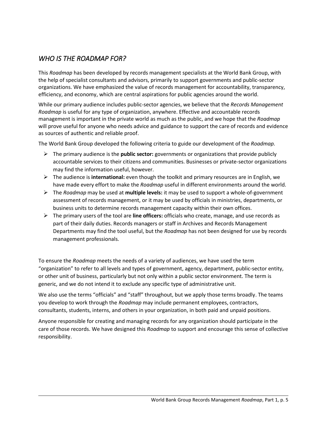#### *WHO IS THE ROADMAP FOR?*

This *Roadmap* has been developed by records management specialists at the World Bank Group, with the help of specialist consultants and advisors, primarily to support governments and public-sector organizations. We have emphasized the value of records management for accountability, transparency, efficiency, and economy, which are central aspirations for public agencies around the world.

While our primary audience includes public-sector agencies, we believe that the *Records Management Roadmap* is useful for any type of organization, anywhere. Effective and accountable records management is important in the private world as much as the public, and we hope that the *Roadmap* will prove useful for anyone who needs advice and guidance to support the care of records and evidence as sources of authentic and reliable proof.

The World Bank Group developed the following criteria to guide our development of the *Roadmap.*

- ➢ The primary audience is the **public sector:** governments or organizations that provide publicly accountable services to their citizens and communities. Businesses or private-sector organizations may find the information useful, however.
- ➢ The audience is **international:** even though the toolkit and primary resources are in English, we have made every effort to make the *Roadmap* useful in different environments around the world.
- ➢ The *Roadmap* may be used at **multiple levels:** it may be used to support a whole-of-government assessment of records management, or it may be used by officials in ministries, departments, or business units to determine records management capacity within their own offices.
- ➢ The primary users of the tool are **line officers:** officials who create, manage, and use records as part of their daily duties. Records managers or staff in Archives and Records Management Departments may find the tool useful, but the *Roadmap* has not been designed for use by records management professionals.

To ensure the *Roadmap* meets the needs of a variety of audiences, we have used the term "organization" to refer to all levels and types of government, agency, department, public-sector entity, or other unit of business, particularly but not only within a public sector environment. The term is generic, and we do not intend it to exclude any specific type of administrative unit.

We also use the terms "officials" and "staff" throughout, but we apply those terms broadly. The teams you develop to work through the *Roadmap* may include permanent employees, contractors, consultants, students, interns, and others in your organization, in both paid and unpaid positions.

Anyone responsible for creating and managing records for any organization should participate in the care of those records. We have designed this *Roadmap* to support and encourage this sense of collective responsibility.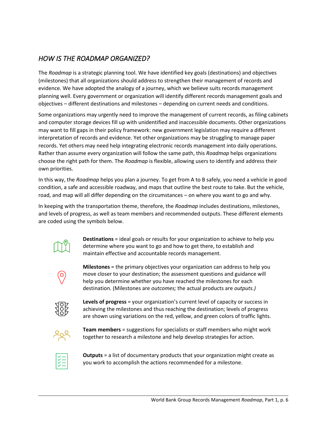#### *HOW IS THE ROADMAP ORGANIZED?*

The *Roadmap* is a strategic planning tool. We have identified key goals (destinations) and objectives (milestones) that all organizations should address to strengthen their management of records and evidence. We have adopted the analogy of a journey, which we believe suits records management planning well. Every government or organization will identify different records management goals and objectives – different destinations and milestones – depending on current needs and conditions.

Some organizations may urgently need to improve the management of current records, as filing cabinets and computer storage devices fill up with unidentified and inaccessible documents. Other organizations may want to fill gaps in their policy framework: new government legislation may require a different interpretation of records and evidence. Yet other organizations may be struggling to manage paper records. Yet others may need help integrating electronic records management into daily operations. Rather than assume every organization will follow the same path, this *Roadmap* helps organizations choose the right path for them. The *Roadmap* is flexible, allowing users to identify and address their own priorities.

In this way, the *Roadmap* helps you plan a journey. To get from A to B safely, you need a vehicle in good condition, a safe and accessible roadway, and maps that outline the best route to take. But the vehicle, road, and map will all differ depending on the circumstances – on where you want to go and why.

In keeping with the transportation theme, therefore, the *Roadmap* includes destinations, milestones, and levels of progress, as well as team members and recommended outputs. These different elements are coded using the symbols below.



**Destinations** = ideal goals or results for your organization to achieve to help you determine where you want to go and how to get there, to establish and maintain effective and accountable records management.



**Milestones** = the primary objectives your organization can address to help you move closer to your destination; the assessment questions and guidance will help you determine whether you have reached the milestones for each destination. (Milestones are *outcomes;* the actual products are *outputs.)*



**Levels of progress** = your organization's current level of capacity or success in achieving the milestones and thus reaching the destination; levels of progress are shown using variations on the red, yellow, and green colors of traffic lights.



**Team members** = suggestions for specialists or staff members who might work together to research a milestone and help develop strategies for action.



**Outputs** = a list of documentary products that your organization might create as you work to accomplish the actions recommended for a milestone.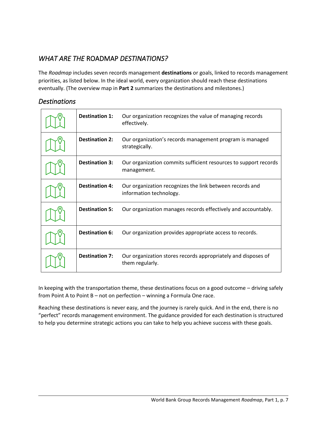#### *WHAT ARE THE* ROADMAP *DESTINATIONS?*

The *Roadmap* includes seven records management **destinations** or goals, linked to records management priorities, as listed below. In the ideal world, every organization should reach these destinations eventually. (The overview map in **Part 2** summarizes the destinations and milestones.)

#### *Destinations*

| <b>Destination 1:</b> | Our organization recognizes the value of managing records<br>effectively.           |
|-----------------------|-------------------------------------------------------------------------------------|
| <b>Destination 2:</b> | Our organization's records management program is managed<br>strategically.          |
| <b>Destination 3:</b> | Our organization commits sufficient resources to support records<br>management.     |
| <b>Destination 4:</b> | Our organization recognizes the link between records and<br>information technology. |
| <b>Destination 5:</b> | Our organization manages records effectively and accountably.                       |
| <b>Destination 6:</b> | Our organization provides appropriate access to records.                            |
| <b>Destination 7:</b> | Our organization stores records appropriately and disposes of<br>them regularly.    |

In keeping with the transportation theme, these destinations focus on a good outcome – driving safely from Point A to Point B – not on perfection – winning a Formula One race.

Reaching these destinations is never easy, and the journey is rarely quick. And in the end, there is no "perfect" records management environment. The guidance provided for each destination is structured to help you determine strategic actions you can take to help you achieve success with these goals.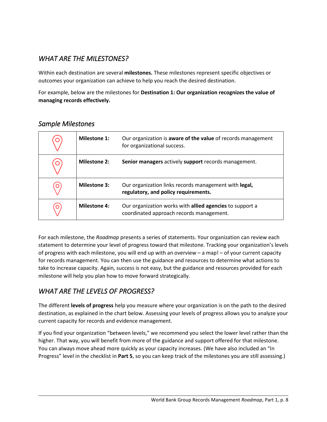#### *WHAT ARE THE MILESTONES?*

Within each destination are several **milestones.** These milestones represent specific objectives or outcomes your organization can achieve to help you reach the desired destination.

For example, below are the milestones for **Destination 1: Our organization recognizes the value of managing records effectively.**

| O | <b>Milestone 1:</b> | Our organization is aware of the value of records management<br>for organizational success.          |
|---|---------------------|------------------------------------------------------------------------------------------------------|
|   | <b>Milestone 2:</b> | Senior managers actively support records management.                                                 |
|   | <b>Milestone 3:</b> | Our organization links records management with legal,<br>regulatory, and policy requirements.        |
|   | <b>Milestone 4:</b> | Our organization works with allied agencies to support a<br>coordinated approach records management. |

#### *Sample Milestones*

For each milestone, the *Roadmap* presents a series of statements. Your organization can review each statement to determine your level of progress toward that milestone. Tracking your organization's levels of progress with each milestone, you will end up with an overview – a map! – of your current capacity for records management. You can then use the guidance and resources to determine what actions to take to increase capacity. Again, success is not easy, but the guidance and resources provided for each milestone will help you plan how to move forward strategically.

#### *WHAT ARE THE LEVELS OF PROGRESS?*

The different **levels of progress** help you measure where your organization is on the path to the desired destination, as explained in the chart below. Assessing your levels of progress allows you to analyze your current capacity for records and evidence management.

If you find your organization "between levels," we recommend you select the lower level rather than the higher. That way, you will benefit from more of the guidance and support offered for that milestone. You can always move ahead more quickly as your capacity increases. (We have also included an "In Progress" level in the checklist in **Part 5**, so you can keep track of the milestones you are still assessing.)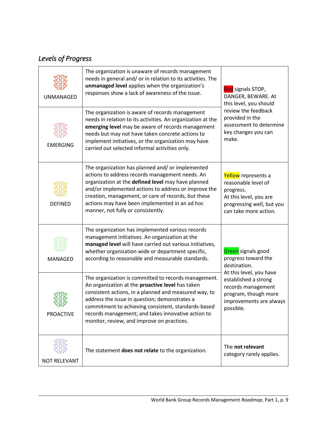# *Levels of Progress*

| <b>UNMANAGED</b>       | The organization is unaware of records management<br>needs in general and/ or in relation to its activities. The<br>unmanaged level applies when the organization's<br>responses show a lack of awareness of the issue.                                                                                                                                                       | Red signals STOP,<br>DANGER, BEWARE. At<br>this level, you should<br>review the feedback                                                                                                           |  |
|------------------------|-------------------------------------------------------------------------------------------------------------------------------------------------------------------------------------------------------------------------------------------------------------------------------------------------------------------------------------------------------------------------------|----------------------------------------------------------------------------------------------------------------------------------------------------------------------------------------------------|--|
| <b>EMERGING</b>        | The organization is aware of records management<br>needs in relation to its activities. An organization at the<br>emerging level may be aware of records management<br>needs but may not have taken concrete actions to<br>implement initiatives, or the organization may have<br>carried out selected informal activities only.                                              | provided in the<br>assessment to determine<br>key changes you can<br>make.                                                                                                                         |  |
| <b>DEFINED</b>         | The organization has planned and/ or implemented<br>actions to address records management needs. An<br>organization at the defined level may have planned<br>and/or implemented actions to address or improve the<br>creation, management, or care of records, but these<br>actions may have been implemented in an ad hoc<br>manner, not fully or consistently.              | Yellow represents a<br>reasonable level of<br>progress.<br>At this level, you are<br>progressing well, but you<br>can take more action.                                                            |  |
| MANAGED                | The organization has implemented various records<br>management initiatives. An organization at the<br>managed level will have carried out various initiatives,<br>whether organization wide or department specific,<br>according to reasonable and measurable standards.                                                                                                      | Green signals good<br>progress toward the<br>destination.<br>At this level, you have<br>established a strong<br>records management<br>program, though more<br>improvements are always<br>possible. |  |
| ىت<br><b>PROACTIVE</b> | The organization is committed to records management.<br>An organization at the proactive level has taken<br>consistent actions, in a planned and measured way, to<br>address the issue in question; demonstrates a<br>commitment to achieving consistent, standards-based<br>records management; and takes innovative action to<br>monitor, review, and improve on practices. |                                                                                                                                                                                                    |  |
| <b>NOT RELEVANT</b>    | The statement does not relate to the organization.                                                                                                                                                                                                                                                                                                                            | The not relevant<br>category rarely applies.                                                                                                                                                       |  |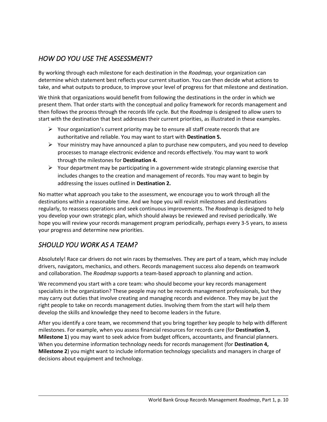#### *HOW DO YOU USE THE ASSESSMENT?*

By working through each milestone for each destination in the *Roadmap,* your organization can determine which statement best reflects your current situation. You can then decide what actions to take, and what outputs to produce, to improve your level of progress for that milestone and destination.

We think that organizations would benefit from following the destinations in the order in which we present them. That order starts with the conceptual and policy framework for records management and then follows the process through the records life cycle. But the *Roadmap* is designed to allow users to start with the destination that best addresses their current priorities, as illustrated in these examples.

- $\triangleright$  Your organization's current priority may be to ensure all staff create records that are authoritative and reliable. You may want to start with **Destination 5.**
- $\triangleright$  Your ministry may have announced a plan to purchase new computers, and you need to develop processes to manage electronic evidence and records effectively. You may want to work through the milestones for **Destination 4.**
- ➢ Your department may be participating in a government-wide strategic planning exercise that includes changes to the creation and management of records. You may want to begin by addressing the issues outlined in **Destination 2.**

No matter what approach you take to the assessment, we encourage you to work through all the destinations within a reasonable time. And we hope you will revisit milestones and destinations regularly, to reassess operations and seek continuous improvements. The *Roadmap* is designed to help you develop your own strategic plan, which should always be reviewed and revised periodically. We hope you will review your records management program periodically, perhaps every 3-5 years, to assess your progress and determine new priorities.

# *SHOULD YOU WORK AS A TEAM?*

Absolutely! Race car drivers do not win races by themselves. They are part of a team, which may include drivers, navigators, mechanics, and others. Records management success also depends on teamwork and collaboration. The *Roadmap* supports a team-based approach to planning and action.

We recommend you start with a core team: who should become your key records management specialists in the organization? These people may not be records management professionals, but they may carry out duties that involve creating and managing records and evidence. They may be just the right people to take on records management duties. Involving them from the start will help them develop the skills and knowledge they need to become leaders in the future.

After you identify a core team, we recommend that you bring together key people to help with different milestones. For example, when you assess financial resources for records care (for **Destination 3, Milestone 1**) you may want to seek advice from budget officers, accountants, and financial planners. When you determine information technology needs for records management (for **Destination 4, Milestone 2**) you might want to include information technology specialists and managers in charge of decisions about equipment and technology.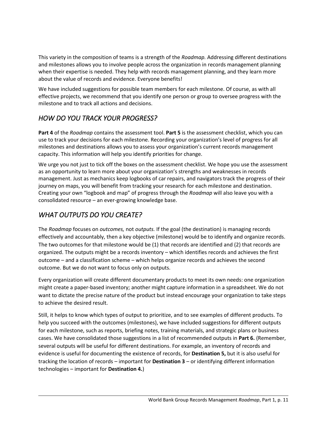This variety in the composition of teams is a strength of the *Roadmap.* Addressing different destinations and milestones allows you to involve people across the organization in records management planning when their expertise is needed. They help with records management planning, and they learn more about the value of records and evidence. Everyone benefits!

We have included suggestions for possible team members for each milestone. Of course, as with all effective projects, we recommend that you identify one person or group to oversee progress with the milestone and to track all actions and decisions.

### *HOW DO YOU TRACK YOUR PROGRESS?*

**Part 4** of the *Roadmap* contains the assessment tool. **Part 5** is the assessment checklist, which you can use to track your decisions for each milestone. Recording your organization's level of progress for all milestones and destinations allows you to assess your organization's current records management capacity. This information will help you identify priorities for change.

We urge you not just to tick off the boxes on the assessment checklist. We hope you use the assessment as an opportunity to learn more about your organization's strengths and weaknesses in records management. Just as mechanics keep logbooks of car repairs, and navigators track the progress of their journey on maps, you will benefit from tracking your research for each milestone and destination. Creating your own "logbook and map" of progress through the *Roadmap* will also leave you with a consolidated resource – an ever-growing knowledge base.

# *WHAT OUTPUTS DO YOU CREATE?*

The *Roadmap* focuses on *outcomes,* not *outputs.* If the goal (the destination) is managing records effectively and accountably, then a key objective (milestone) would be to identify and organize records. The two outcomes for that milestone would be (1) that records are identified and (2) that records are organized. The outputs might be a records inventory – which identifies records and achieves the first outcome – and a classification scheme – which helps organize records and achieves the second outcome. But we do not want to focus only on outputs.

Every organization will create different documentary products to meet its own needs: one organization might create a paper-based inventory; another might capture information in a spreadsheet. We do not want to dictate the precise nature of the product but instead encourage your organization to take steps to achieve the desired result.

Still, it helps to know which types of output to prioritize, and to see examples of different products. To help you succeed with the outcomes (milestones), we have included suggestions for different outputs for each milestone, such as reports, briefing notes, training materials, and strategic plans or business cases. We have consolidated those suggestions in a list of recommended outputs in **Part 6.** (Remember, several outputs will be useful for different destinations. For example, an inventory of records and evidence is useful for documenting the existence of records, for **Destination 5,** but it is also useful for tracking the location of records – important for **Destination 3** – or identifying different information technologies – important for **Destination 4.**)